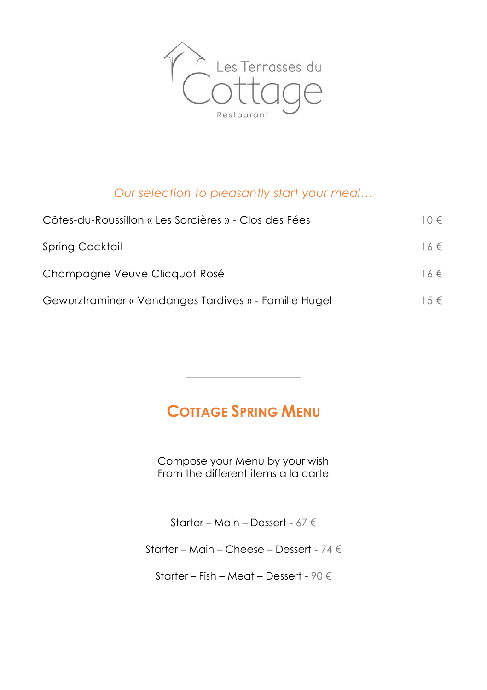

*Our selection to pleasantly start your meal…*

| Côtes-du-Roussillon « Les Sorcières » - Clos des Fées | $10 \in$  |
|-------------------------------------------------------|-----------|
| Spring Cocktail                                       | $16 \in$  |
| Champagne Veuve Clicquot Rosé                         | $16 \in$  |
| Gewurztraminer « Vendanges Tardives » - Famille Hugel | $1.5 \in$ |

## **COTTAGE SPRING MENU**

Compose your Menu by your wish From the different items a la carte

Starter – Main – Dessert - 67 $\notin$ 

Starter – Main – Cheese – Dessert - 74 €

Starter – Fish – Meat – Dessert - 90  $\epsilon$